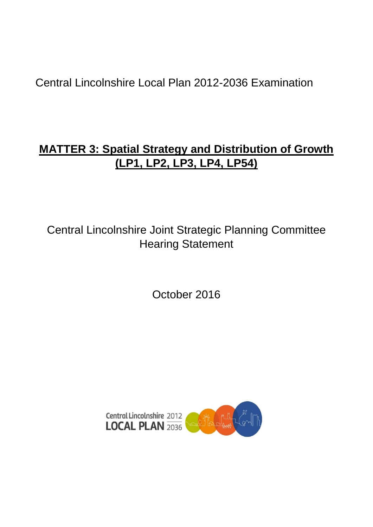Central Lincolnshire Local Plan 2012-2036 Examination

# **MATTER 3: Spatial Strategy and Distribution of Growth (LP1, LP2, LP3, LP4, LP54)**

Central Lincolnshire Joint Strategic Planning Committee Hearing Statement

October 2016

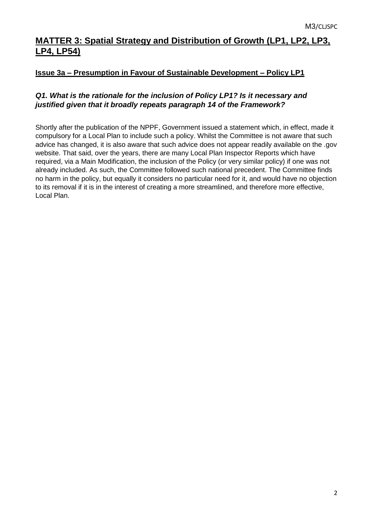# **MATTER 3: Spatial Strategy and Distribution of Growth (LP1, LP2, LP3, LP4, LP54)**

#### **Issue 3a – Presumption in Favour of Sustainable Development – Policy LP1**

## *Q1. What is the rationale for the inclusion of Policy LP1? Is it necessary and justified given that it broadly repeats paragraph 14 of the Framework?*

Shortly after the publication of the NPPF, Government issued a statement which, in effect, made it compulsory for a Local Plan to include such a policy. Whilst the Committee is not aware that such advice has changed, it is also aware that such advice does not appear readily available on the .gov website. That said, over the years, there are many Local Plan Inspector Reports which have required, via a Main Modification, the inclusion of the Policy (or very similar policy) if one was not already included. As such, the Committee followed such national precedent. The Committee finds no harm in the policy, but equally it considers no particular need for it, and would have no objection to its removal if it is in the interest of creating a more streamlined, and therefore more effective, Local Plan.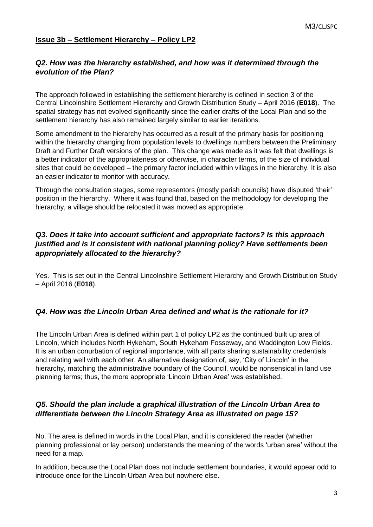#### **Issue 3b – Settlement Hierarchy – Policy LP2**

#### *Q2. How was the hierarchy established, and how was it determined through the evolution of the Plan?*

The approach followed in establishing the settlement hierarchy is defined in section 3 of the Central Lincolnshire Settlement Hierarchy and Growth Distribution Study – April 2016 (**E018**). The spatial strategy has not evolved significantly since the earlier drafts of the Local Plan and so the settlement hierarchy has also remained largely similar to earlier iterations.

Some amendment to the hierarchy has occurred as a result of the primary basis for positioning within the hierarchy changing from population levels to dwellings numbers between the Preliminary Draft and Further Draft versions of the plan. This change was made as it was felt that dwellings is a better indicator of the appropriateness or otherwise, in character terms, of the size of individual sites that could be developed – the primary factor included within villages in the hierarchy. It is also an easier indicator to monitor with accuracy.

Through the consultation stages, some representors (mostly parish councils) have disputed 'their' position in the hierarchy. Where it was found that, based on the methodology for developing the hierarchy, a village should be relocated it was moved as appropriate.

#### *Q3. Does it take into account sufficient and appropriate factors? Is this approach justified and is it consistent with national planning policy? Have settlements been appropriately allocated to the hierarchy?*

Yes. This is set out in the Central Lincolnshire Settlement Hierarchy and Growth Distribution Study – April 2016 (**E018**).

#### *Q4. How was the Lincoln Urban Area defined and what is the rationale for it?*

The Lincoln Urban Area is defined within part 1 of policy LP2 as the continued built up area of Lincoln, which includes North Hykeham, South Hykeham Fosseway, and Waddington Low Fields. It is an urban conurbation of regional importance, with all parts sharing sustainability credentials and relating well with each other. An alternative designation of, say, 'City of Lincoln' in the hierarchy, matching the administrative boundary of the Council, would be nonsensical in land use planning terms; thus, the more appropriate 'Lincoln Urban Area' was established.

#### *Q5. Should the plan include a graphical illustration of the Lincoln Urban Area to differentiate between the Lincoln Strategy Area as illustrated on page 15?*

No. The area is defined in words in the Local Plan, and it is considered the reader (whether planning professional or lay person) understands the meaning of the words 'urban area' without the need for a map.

In addition, because the Local Plan does not include settlement boundaries, it would appear odd to introduce once for the Lincoln Urban Area but nowhere else.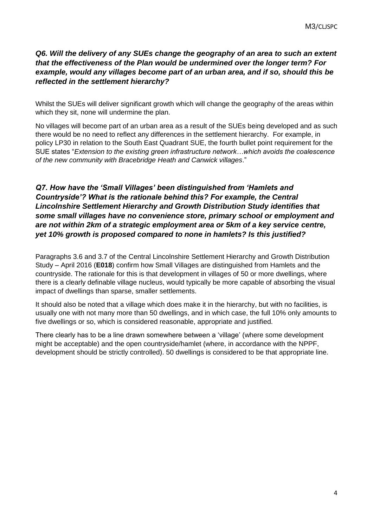#### *Q6. Will the delivery of any SUEs change the geography of an area to such an extent that the effectiveness of the Plan would be undermined over the longer term? For example, would any villages become part of an urban area, and if so, should this be reflected in the settlement hierarchy?*

Whilst the SUEs will deliver significant growth which will change the geography of the areas within which they sit, none will undermine the plan.

No villages will become part of an urban area as a result of the SUEs being developed and as such there would be no need to reflect any differences in the settlement hierarchy. For example, in policy LP30 in relation to the South East Quadrant SUE, the fourth bullet point requirement for the SUE states "*Extension to the existing green infrastructure network…which avoids the coalescence of the new community with Bracebridge Heath and Canwick villages*."

#### *Q7. How have the 'Small Villages' been distinguished from 'Hamlets and Countryside'? What is the rationale behind this? For example, the Central Lincolnshire Settlement Hierarchy and Growth Distribution Study identifies that some small villages have no convenience store, primary school or employment and are not within 2km of a strategic employment area or 5km of a key service centre, yet 10% growth is proposed compared to none in hamlets? Is this justified?*

Paragraphs 3.6 and 3.7 of the Central Lincolnshire Settlement Hierarchy and Growth Distribution Study – April 2016 (**E018**) confirm how Small Villages are distinguished from Hamlets and the countryside. The rationale for this is that development in villages of 50 or more dwellings, where there is a clearly definable village nucleus, would typically be more capable of absorbing the visual impact of dwellings than sparse, smaller settlements.

It should also be noted that a village which does make it in the hierarchy, but with no facilities, is usually one with not many more than 50 dwellings, and in which case, the full 10% only amounts to five dwellings or so, which is considered reasonable, appropriate and justified.

There clearly has to be a line drawn somewhere between a 'village' (where some development might be acceptable) and the open countryside/hamlet (where, in accordance with the NPPF, development should be strictly controlled). 50 dwellings is considered to be that appropriate line.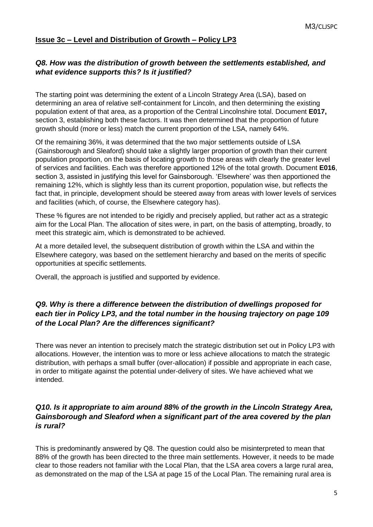#### **Issue 3c – Level and Distribution of Growth – Policy LP3**

#### *Q8. How was the distribution of growth between the settlements established, and what evidence supports this? Is it justified?*

The starting point was determining the extent of a Lincoln Strategy Area (LSA), based on determining an area of relative self-containment for Lincoln, and then determining the existing population extent of that area, as a proportion of the Central Lincolnshire total. Document **E017,** section 3, establishing both these factors. It was then determined that the proportion of future growth should (more or less) match the current proportion of the LSA, namely 64%.

Of the remaining 36%, it was determined that the two major settlements outside of LSA (Gainsborough and Sleaford) should take a slightly larger proportion of growth than their current population proportion, on the basis of locating growth to those areas with clearly the greater level of services and facilities. Each was therefore apportioned 12% of the total growth. Document **E016**, section 3, assisted in justifying this level for Gainsborough. 'Elsewhere' was then apportioned the remaining 12%, which is slightly less than its current proportion, population wise, but reflects the fact that, in principle, development should be steered away from areas with lower levels of services and facilities (which, of course, the Elsewhere category has).

These % figures are not intended to be rigidly and precisely applied, but rather act as a strategic aim for the Local Plan. The allocation of sites were, in part, on the basis of attempting, broadly, to meet this strategic aim, which is demonstrated to be achieved.

At a more detailed level, the subsequent distribution of growth within the LSA and within the Elsewhere category, was based on the settlement hierarchy and based on the merits of specific opportunities at specific settlements.

Overall, the approach is justified and supported by evidence.

## *Q9. Why is there a difference between the distribution of dwellings proposed for each tier in Policy LP3, and the total number in the housing trajectory on page 109 of the Local Plan? Are the differences significant?*

There was never an intention to precisely match the strategic distribution set out in Policy LP3 with allocations. However, the intention was to more or less achieve allocations to match the strategic distribution, with perhaps a small buffer (over-allocation) if possible and appropriate in each case, in order to mitigate against the potential under-delivery of sites. We have achieved what we intended.

#### *Q10. Is it appropriate to aim around 88% of the growth in the Lincoln Strategy Area, Gainsborough and Sleaford when a significant part of the area covered by the plan is rural?*

This is predominantly answered by Q8. The question could also be misinterpreted to mean that 88% of the growth has been directed to the three main settlements. However, it needs to be made clear to those readers not familiar with the Local Plan, that the LSA area covers a large rural area, as demonstrated on the map of the LSA at page 15 of the Local Plan. The remaining rural area is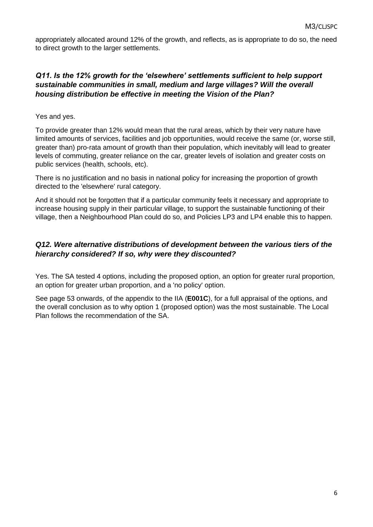appropriately allocated around 12% of the growth, and reflects, as is appropriate to do so, the need to direct growth to the larger settlements.

## *Q11. Is the 12% growth for the 'elsewhere' settlements sufficient to help support sustainable communities in small, medium and large villages? Will the overall housing distribution be effective in meeting the Vision of the Plan?*

Yes and yes.

To provide greater than 12% would mean that the rural areas, which by their very nature have limited amounts of services, facilities and job opportunities, would receive the same (or, worse still, greater than) pro-rata amount of growth than their population, which inevitably will lead to greater levels of commuting, greater reliance on the car, greater levels of isolation and greater costs on public services (health, schools, etc).

There is no justification and no basis in national policy for increasing the proportion of growth directed to the 'elsewhere' rural category.

And it should not be forgotten that if a particular community feels it necessary and appropriate to increase housing supply in their particular village, to support the sustainable functioning of their village, then a Neighbourhood Plan could do so, and Policies LP3 and LP4 enable this to happen.

#### *Q12. Were alternative distributions of development between the various tiers of the hierarchy considered? If so, why were they discounted?*

Yes. The SA tested 4 options, including the proposed option, an option for greater rural proportion, an option for greater urban proportion, and a 'no policy' option.

See page 53 onwards, of the appendix to the IIA (**E001C**), for a full appraisal of the options, and the overall conclusion as to why option 1 (proposed option) was the most sustainable. The Local Plan follows the recommendation of the SA.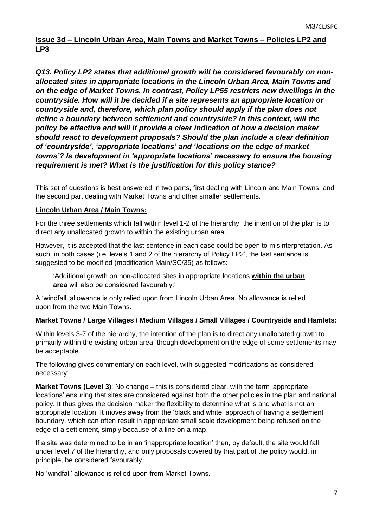## **Issue 3d – Lincoln Urban Area, Main Towns and Market Towns – Policies LP2 and LP3**

*Q13. Policy LP2 states that additional growth will be considered favourably on nonallocated sites in appropriate locations in the Lincoln Urban Area, Main Towns and on the edge of Market Towns. In contrast, Policy LP55 restricts new dwellings in the countryside. How will it be decided if a site represents an appropriate location or countryside and, therefore, which plan policy should apply if the plan does not define a boundary between settlement and countryside? In this context, will the policy be effective and will it provide a clear indication of how a decision maker should react to development proposals? Should the plan include a clear definition of 'countryside', 'appropriate locations' and 'locations on the edge of market towns'? Is development in 'appropriate locations' necessary to ensure the housing requirement is met? What is the justification for this policy stance?*

This set of questions is best answered in two parts, first dealing with Lincoln and Main Towns, and the second part dealing with Market Towns and other smaller settlements.

#### **Lincoln Urban Area / Main Towns:**

For the three settlements which fall within level 1-2 of the hierarchy, the intention of the plan is to direct any unallocated growth to within the existing urban area.

However, it is accepted that the last sentence in each case could be open to misinterpretation. As such, in both cases (i.e. levels 1 and 2 of the hierarchy of Policy LP2', the last sentence is suggested to be modified (modification Main/SC/35) as follows:

'Additional growth on non-allocated sites in appropriate locations **within the urban area** will also be considered favourably.'

A 'windfall' allowance is only relied upon from Lincoln Urban Area. No allowance is relied upon from the two Main Towns.

#### **Market Towns / Large Villages / Medium Villages / Small Villages / Countryside and Hamlets:**

Within levels 3-7 of the hierarchy, the intention of the plan is to direct any unallocated growth to primarily within the existing urban area, though development on the edge of some settlements may be acceptable.

The following gives commentary on each level, with suggested modifications as considered necessary:

**Market Towns (Level 3)**: No change – this is considered clear, with the term 'appropriate locations' ensuring that sites are considered against both the other policies in the plan and national policy. It thus gives the decision maker the flexibility to determine what is and what is not an appropriate location. It moves away from the 'black and white' approach of having a settlement boundary, which can often result in appropriate small scale development being refused on the edge of a settlement, simply because of a line on a map.

If a site was determined to be in an 'inappropriate location' then, by default, the site would fall under level 7 of the hierarchy, and only proposals covered by that part of the policy would, in principle, be considered favourably.

No 'windfall' allowance is relied upon from Market Towns.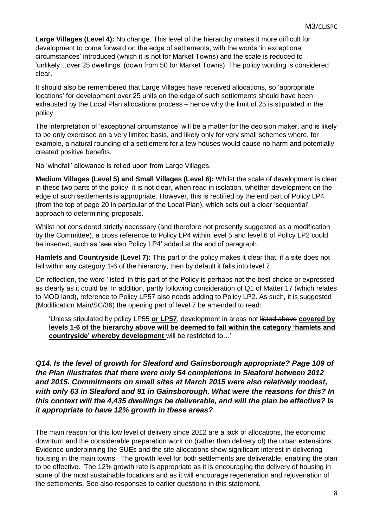**Large Villages (Level 4):** No change. This level of the hierarchy makes it more difficult for development to come forward on the edge of settlements, with the words 'in exceptional circumstances' introduced (which it is not for Market Towns) and the scale is reduced to 'unlikely…over 25 dwellings' (down from 50 for Market Towns). The policy wording is considered clear.

It should also be remembered that Large Villages have received allocations, so 'appropriate locations' for development over 25 units on the edge of such settlements should have been exhausted by the Local Plan allocations process – hence why the limit of 25 is stipulated in the policy.

The interpretation of 'exceptional circumstance' will be a matter for the decision maker, and is likely to be only exercised on a very limited basis, and likely only for very small schemes where, for example, a natural rounding of a settlement for a few houses would cause no harm and potentially created positive benefits.

No 'windfall' allowance is relied upon from Large Villages.

**Medium Villages (Level 5) and Small Villages (Level 6):** Whilst the scale of development is clear in these two parts of the policy, it is not clear, when read in isolation, whether development on the edge of such settlements is appropriate. However, this is rectified by the end part of Policy LP4 (from the top of page 20 in particular of the Local Plan), which sets out a clear 'sequential' approach to determining proposals.

Whilst not considered strictly necessary (and therefore not presently suggested as a modification by the Committee), a cross reference to Policy LP4 within level 5 and level 6 of Policy LP2 could be inserted, such as 'see also Policy LP4' added at the end of paragraph.

**Hamlets and Countryside (Level 7):** This part of the policy makes it clear that, if a site does not fall within any category 1-6 of the hierarchy, then by default it falls into level 7.

On reflection, the word 'listed' in this part of the Policy is perhaps not the best choice or expressed as clearly as it could be. In addition, partly following consideration of Q1 of Matter 17 (which relates to MOD land), reference to Policy LP57 also needs adding to Policy LP2. As such, it is suggested (Modification Main/SC/36) the opening part of level 7 be amended to read:

'Unless stipulated by policy LP55 **or LP57**, development in areas not listed above **covered by levels 1-6 of the hierarchy above will be deemed to fall within the category 'hamlets and countryside' whereby development** will be restricted to…'

*Q14. Is the level of growth for Sleaford and Gainsborough appropriate? Page 109 of the Plan illustrates that there were only 54 completions in Sleaford between 2012 and 2015. Commitments on small sites at March 2015 were also relatively modest, with only 63 in Sleaford and 91 in Gainsborough. What were the reasons for this? In this context will the 4,435 dwellings be deliverable, and will the plan be effective? Is it appropriate to have 12% growth in these areas?*

The main reason for this low level of delivery since 2012 are a lack of allocations, the economic downturn and the considerable preparation work on (rather than delivery of) the urban extensions. Evidence underpinning the SUEs and the site allocations show significant interest in delivering housing in the main towns. The growth level for both settlements are deliverable, enabling the plan to be effective. The 12% growth rate is appropriate as it is encouraging the delivery of housing in some of the most sustainable locations and as it will encourage regeneration and rejuvenation of the settlements. See also responses to earlier questions in this statement.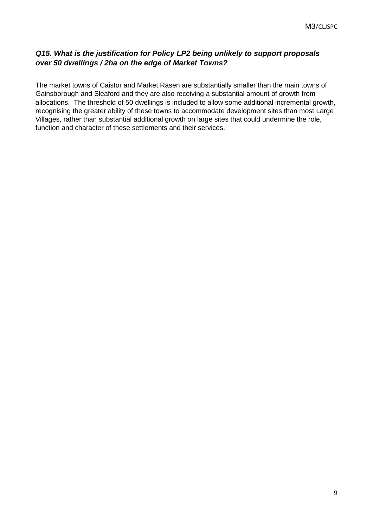## *Q15. What is the justification for Policy LP2 being unlikely to support proposals over 50 dwellings / 2ha on the edge of Market Towns?*

The market towns of Caistor and Market Rasen are substantially smaller than the main towns of Gainsborough and Sleaford and they are also receiving a substantial amount of growth from allocations. The threshold of 50 dwellings is included to allow some additional incremental growth, recognising the greater ability of these towns to accommodate development sites than most Large Villages, rather than substantial additional growth on large sites that could undermine the role, function and character of these settlements and their services.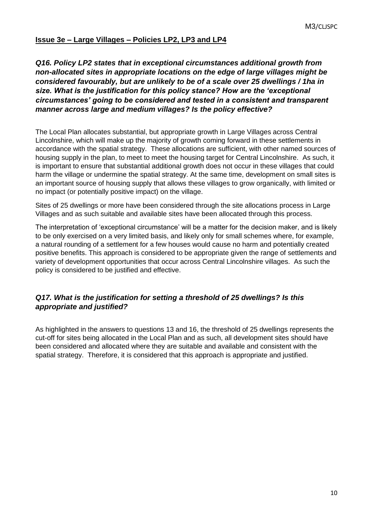#### **Issue 3e – Large Villages – Policies LP2, LP3 and LP4**

## *Q16. Policy LP2 states that in exceptional circumstances additional growth from non-allocated sites in appropriate locations on the edge of large villages might be considered favourably, but are unlikely to be of a scale over 25 dwellings / 1ha in size. What is the justification for this policy stance? How are the 'exceptional circumstances' going to be considered and tested in a consistent and transparent manner across large and medium villages? Is the policy effective?*

The Local Plan allocates substantial, but appropriate growth in Large Villages across Central Lincolnshire, which will make up the majority of growth coming forward in these settlements in accordance with the spatial strategy. These allocations are sufficient, with other named sources of housing supply in the plan, to meet to meet the housing target for Central Lincolnshire. As such, it is important to ensure that substantial additional growth does not occur in these villages that could harm the village or undermine the spatial strategy. At the same time, development on small sites is an important source of housing supply that allows these villages to grow organically, with limited or no impact (or potentially positive impact) on the village.

Sites of 25 dwellings or more have been considered through the site allocations process in Large Villages and as such suitable and available sites have been allocated through this process.

The interpretation of 'exceptional circumstance' will be a matter for the decision maker, and is likely to be only exercised on a very limited basis, and likely only for small schemes where, for example, a natural rounding of a settlement for a few houses would cause no harm and potentially created positive benefits. This approach is considered to be appropriate given the range of settlements and variety of development opportunities that occur across Central Lincolnshire villages. As such the policy is considered to be justified and effective.

#### *Q17. What is the justification for setting a threshold of 25 dwellings? Is this appropriate and justified?*

As highlighted in the answers to questions 13 and 16, the threshold of 25 dwellings represents the cut-off for sites being allocated in the Local Plan and as such, all development sites should have been considered and allocated where they are suitable and available and consistent with the spatial strategy. Therefore, it is considered that this approach is appropriate and justified.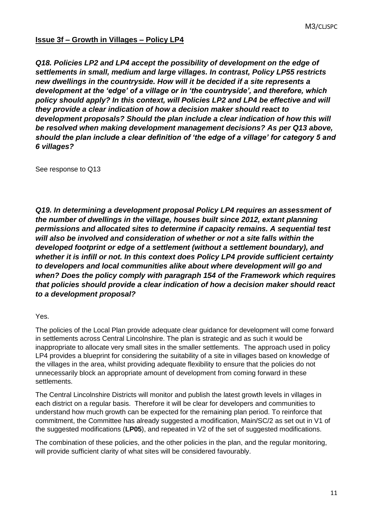#### **Issue 3f – Growth in Villages – Policy LP4**

*Q18. Policies LP2 and LP4 accept the possibility of development on the edge of settlements in small, medium and large villages. In contrast, Policy LP55 restricts new dwellings in the countryside. How will it be decided if a site represents a development at the 'edge' of a village or in 'the countryside', and therefore, which policy should apply? In this context, will Policies LP2 and LP4 be effective and will they provide a clear indication of how a decision maker should react to development proposals? Should the plan include a clear indication of how this will be resolved when making development management decisions? As per Q13 above, should the plan include a clear definition of 'the edge of a village' for category 5 and 6 villages?*

See response to Q13

*Q19. In determining a development proposal Policy LP4 requires an assessment of the number of dwellings in the village, houses built since 2012, extant planning permissions and allocated sites to determine if capacity remains. A sequential test will also be involved and consideration of whether or not a site falls within the developed footprint or edge of a settlement (without a settlement boundary), and whether it is infill or not. In this context does Policy LP4 provide sufficient certainty to developers and local communities alike about where development will go and when? Does the policy comply with paragraph 154 of the Framework which requires that policies should provide a clear indication of how a decision maker should react to a development proposal?*

Yes.

The policies of the Local Plan provide adequate clear guidance for development will come forward in settlements across Central Lincolnshire. The plan is strategic and as such it would be inappropriate to allocate very small sites in the smaller settlements. The approach used in policy LP4 provides a blueprint for considering the suitability of a site in villages based on knowledge of the villages in the area, whilst providing adequate flexibility to ensure that the policies do not unnecessarily block an appropriate amount of development from coming forward in these settlements.

The Central Lincolnshire Districts will monitor and publish the latest growth levels in villages in each district on a regular basis. Therefore it will be clear for developers and communities to understand how much growth can be expected for the remaining plan period. To reinforce that commitment, the Committee has already suggested a modification, Main/SC/2 as set out in V1 of the suggested modifications (**LP05**), and repeated in V2 of the set of suggested modifications.

The combination of these policies, and the other policies in the plan, and the regular monitoring, will provide sufficient clarity of what sites will be considered favourably.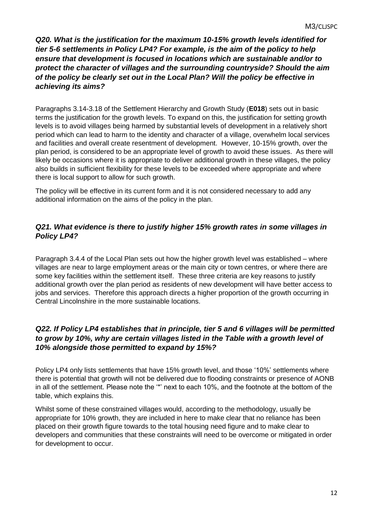*Q20. What is the justification for the maximum 10-15% growth levels identified for tier 5-6 settlements in Policy LP4? For example, is the aim of the policy to help ensure that development is focused in locations which are sustainable and/or to protect the character of villages and the surrounding countryside? Should the aim of the policy be clearly set out in the Local Plan? Will the policy be effective in achieving its aims?*

Paragraphs 3.14-3.18 of the Settlement Hierarchy and Growth Study (**E018**) sets out in basic terms the justification for the growth levels. To expand on this, the justification for setting growth levels is to avoid villages being harmed by substantial levels of development in a relatively short period which can lead to harm to the identity and character of a village, overwhelm local services and facilities and overall create resentment of development. However, 10-15% growth, over the plan period, is considered to be an appropriate level of growth to avoid these issues. As there will likely be occasions where it is appropriate to deliver additional growth in these villages, the policy also builds in sufficient flexibility for these levels to be exceeded where appropriate and where there is local support to allow for such growth.

The policy will be effective in its current form and it is not considered necessary to add any additional information on the aims of the policy in the plan.

## *Q21. What evidence is there to justify higher 15% growth rates in some villages in Policy LP4?*

Paragraph 3.4.4 of the Local Plan sets out how the higher growth level was established – where villages are near to large employment areas or the main city or town centres, or where there are some key facilities within the settlement itself. These three criteria are key reasons to justify additional growth over the plan period as residents of new development will have better access to jobs and services. Therefore this approach directs a higher proportion of the growth occurring in Central Lincolnshire in the more sustainable locations.

## *Q22. If Policy LP4 establishes that in principle, tier 5 and 6 villages will be permitted to grow by 10%, why are certain villages listed in the Table with a growth level of 10% alongside those permitted to expand by 15%?*

Policy LP4 only lists settlements that have 15% growth level, and those '10%' settlements where there is potential that growth will not be delivered due to flooding constraints or presence of AONB in all of the settlement. Please note the '\*' next to each 10%, and the footnote at the bottom of the table, which explains this.

Whilst some of these constrained villages would, according to the methodology, usually be appropriate for 10% growth, they are included in here to make clear that no reliance has been placed on their growth figure towards to the total housing need figure and to make clear to developers and communities that these constraints will need to be overcome or mitigated in order for development to occur.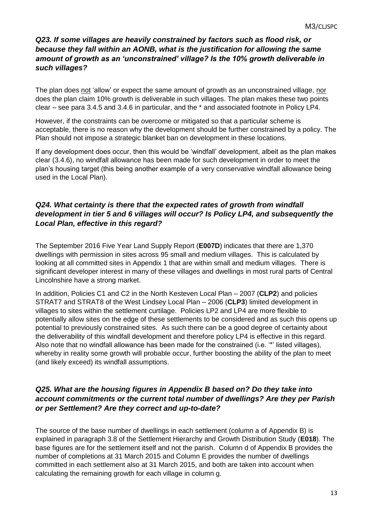#### *Q23. If some villages are heavily constrained by factors such as flood risk, or because they fall within an AONB, what is the justification for allowing the same amount of growth as an 'unconstrained' village? Is the 10% growth deliverable in such villages?*

The plan does not 'allow' or expect the same amount of growth as an unconstrained village, nor does the plan claim 10% growth is deliverable in such villages. The plan makes these two points clear – see para 3.4.5 and 3.4.6 in particular, and the \* and associated footnote in Policy LP4.

However, if the constraints can be overcome or mitigated so that a particular scheme is acceptable, there is no reason why the development should be further constrained by a policy. The Plan should not impose a strategic blanket ban on development in these locations.

If any development does occur, then this would be 'windfall' development, albeit as the plan makes clear (3.4.6), no windfall allowance has been made for such development in order to meet the plan's housing target (this being another example of a very conservative windfall allowance being used in the Local Plan).

## *Q24. What certainty is there that the expected rates of growth from windfall development in tier 5 and 6 villages will occur? Is Policy LP4, and subsequently the Local Plan, effective in this regard?*

The September 2016 Five Year Land Supply Report (**E007D**) indicates that there are 1,370 dwellings with permission in sites across 95 small and medium villages. This is calculated by looking at all committed sites in Appendix 1 that are within small and medium villages. There is significant developer interest in many of these villages and dwellings in most rural parts of Central Lincolnshire have a strong market.

In addition, Policies C1 and C2 in the North Kesteven Local Plan – 2007 (**CLP2**) and policies STRAT7 and STRAT8 of the West Lindsey Local Plan – 2006 (**CLP3**) limited development in villages to sites within the settlement curtilage. Policies LP2 and LP4 are more flexible to potentially allow sites on the edge of these settlements to be considered and as such this opens up potential to previously constrained sites. As such there can be a good degree of certainty about the deliverability of this windfall development and therefore policy LP4 is effective in this regard. Also note that no windfall allowance has been made for the constrained (i.e. '\*' listed villages), whereby in reality some growth will probable occur, further boosting the ability of the plan to meet (and likely exceed) its windfall assumptions.

#### *Q25. What are the housing figures in Appendix B based on? Do they take into account commitments or the current total number of dwellings? Are they per Parish or per Settlement? Are they correct and up-to-date?*

The source of the base number of dwellings in each settlement (column a of Appendix B) is explained in paragraph 3.8 of the Settlement Hierarchy and Growth Distribution Study (**E018**). The base figures are for the settlement itself and not the parish. Column d of Appendix B provides the number of completions at 31 March 2015 and Column E provides the number of dwellings committed in each settlement also at 31 March 2015, and both are taken into account when calculating the remaining growth for each village in column g.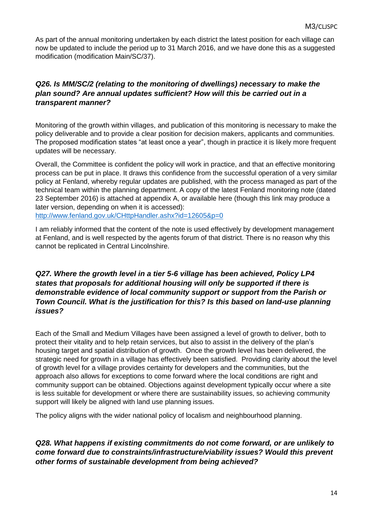As part of the annual monitoring undertaken by each district the latest position for each village can now be updated to include the period up to 31 March 2016, and we have done this as a suggested modification (modification Main/SC/37).

## *Q26. Is MM/SC/2 (relating to the monitoring of dwellings) necessary to make the plan sound? Are annual updates sufficient? How will this be carried out in a transparent manner?*

Monitoring of the growth within villages, and publication of this monitoring is necessary to make the policy deliverable and to provide a clear position for decision makers, applicants and communities. The proposed modification states "at least once a year", though in practice it is likely more frequent updates will be necessary.

Overall, the Committee is confident the policy will work in practice, and that an effective monitoring process can be put in place. It draws this confidence from the successful operation of a very similar policy at Fenland, whereby regular updates are published, with the process managed as part of the technical team within the planning department. A copy of the latest Fenland monitoring note (dated 23 September 2016) is attached at appendix A, or available here (though this link may produce a later version, depending on when it is accessed):

<http://www.fenland.gov.uk/CHttpHandler.ashx?id=12605&p=0>

I am reliably informed that the content of the note is used effectively by development management at Fenland, and is well respected by the agents forum of that district. There is no reason why this cannot be replicated in Central Lincolnshire.

#### *Q27. Where the growth level in a tier 5-6 village has been achieved, Policy LP4 states that proposals for additional housing will only be supported if there is demonstrable evidence of local community support or support from the Parish or Town Council. What is the justification for this? Is this based on land-use planning issues?*

Each of the Small and Medium Villages have been assigned a level of growth to deliver, both to protect their vitality and to help retain services, but also to assist in the delivery of the plan's housing target and spatial distribution of growth. Once the growth level has been delivered, the strategic need for growth in a village has effectively been satisfied. Providing clarity about the level of growth level for a village provides certainty for developers and the communities, but the approach also allows for exceptions to come forward where the local conditions are right and community support can be obtained. Objections against development typically occur where a site is less suitable for development or where there are sustainability issues, so achieving community support will likely be aligned with land use planning issues.

The policy aligns with the wider national policy of localism and neighbourhood planning.

#### *Q28. What happens if existing commitments do not come forward, or are unlikely to come forward due to constraints/infrastructure/viability issues? Would this prevent other forms of sustainable development from being achieved?*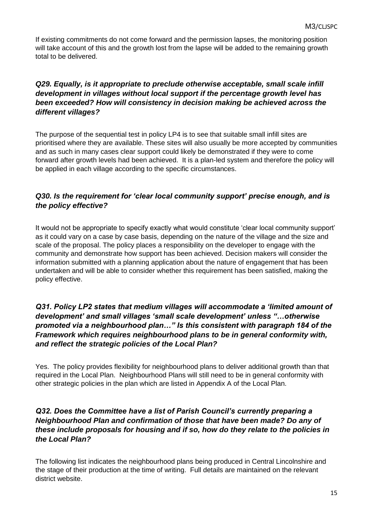If existing commitments do not come forward and the permission lapses, the monitoring position will take account of this and the growth lost from the lapse will be added to the remaining growth total to be delivered.

#### *Q29. Equally, is it appropriate to preclude otherwise acceptable, small scale infill development in villages without local support if the percentage growth level has been exceeded? How will consistency in decision making be achieved across the different villages?*

The purpose of the sequential test in policy LP4 is to see that suitable small infill sites are prioritised where they are available. These sites will also usually be more accepted by communities and as such in many cases clear support could likely be demonstrated if they were to come forward after growth levels had been achieved. It is a plan-led system and therefore the policy will be applied in each village according to the specific circumstances.

## *Q30. Is the requirement for 'clear local community support' precise enough, and is the policy effective?*

It would not be appropriate to specify exactly what would constitute 'clear local community support' as it could vary on a case by case basis, depending on the nature of the village and the size and scale of the proposal. The policy places a responsibility on the developer to engage with the community and demonstrate how support has been achieved. Decision makers will consider the information submitted with a planning application about the nature of engagement that has been undertaken and will be able to consider whether this requirement has been satisfied, making the policy effective.

#### *Q31. Policy LP2 states that medium villages will accommodate a 'limited amount of development' and small villages 'small scale development' unless "…otherwise promoted via a neighbourhood plan…" Is this consistent with paragraph 184 of the Framework which requires neighbourhood plans to be in general conformity with, and reflect the strategic policies of the Local Plan?*

Yes. The policy provides flexibility for neighbourhood plans to deliver additional growth than that required in the Local Plan. Neighbourhood Plans will still need to be in general conformity with other strategic policies in the plan which are listed in Appendix A of the Local Plan.

#### *Q32. Does the Committee have a list of Parish Council's currently preparing a Neighbourhood Plan and confirmation of those that have been made? Do any of these include proposals for housing and if so, how do they relate to the policies in the Local Plan?*

The following list indicates the neighbourhood plans being produced in Central Lincolnshire and the stage of their production at the time of writing. Full details are maintained on the relevant district website.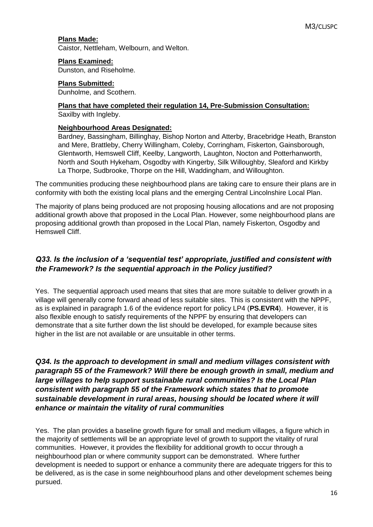#### **Plans Made:**

Caistor, Nettleham, Welbourn, and Welton.

#### **Plans Examined:**

Dunston, and Riseholme.

#### **Plans Submitted:**

Dunholme, and Scothern.

#### **Plans that have completed their regulation 14, Pre-Submission Consultation:** Saxilby with Ingleby.

#### **Neighbourhood Areas Designated:**

Bardney, Bassingham, Billinghay, Bishop Norton and Atterby, Bracebridge Heath, Branston and Mere, Brattleby, Cherry Willingham, Coleby, Corringham, Fiskerton, Gainsborough, Glentworth, Hemswell Cliff, Keelby, Langworth, Laughton, Nocton and Potterhanworth, North and South Hykeham, Osgodby with Kingerby, Silk Willoughby, Sleaford and Kirkby La Thorpe, Sudbrooke, Thorpe on the Hill, Waddingham, and Willoughton.

The communities producing these neighbourhood plans are taking care to ensure their plans are in conformity with both the existing local plans and the emerging Central Lincolnshire Local Plan.

The majority of plans being produced are not proposing housing allocations and are not proposing additional growth above that proposed in the Local Plan. However, some neighbourhood plans are proposing additional growth than proposed in the Local Plan, namely Fiskerton, Osgodby and Hemswell Cliff.

#### *Q33. Is the inclusion of a 'sequential test' appropriate, justified and consistent with the Framework? Is the sequential approach in the Policy justified?*

Yes. The sequential approach used means that sites that are more suitable to deliver growth in a village will generally come forward ahead of less suitable sites. This is consistent with the NPPF, as is explained in paragraph 1.6 of the evidence report for policy LP4 (**PS.EVR4**). However, it is also flexible enough to satisfy requirements of the NPPF by ensuring that developers can demonstrate that a site further down the list should be developed, for example because sites higher in the list are not available or are unsuitable in other terms.

*Q34. Is the approach to development in small and medium villages consistent with paragraph 55 of the Framework? Will there be enough growth in small, medium and large villages to help support sustainable rural communities? Is the Local Plan consistent with paragraph 55 of the Framework which states that to promote sustainable development in rural areas, housing should be located where it will enhance or maintain the vitality of rural communities*

Yes. The plan provides a baseline growth figure for small and medium villages, a figure which in the majority of settlements will be an appropriate level of growth to support the vitality of rural communities. However, it provides the flexibility for additional growth to occur through a neighbourhood plan or where community support can be demonstrated. Where further development is needed to support or enhance a community there are adequate triggers for this to be delivered, as is the case in some neighbourhood plans and other development schemes being pursued.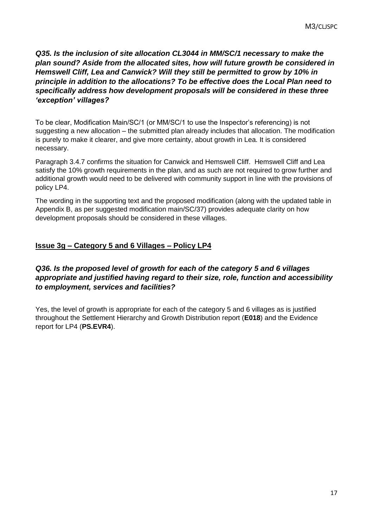*Q35. Is the inclusion of site allocation CL3044 in MM/SC/1 necessary to make the plan sound? Aside from the allocated sites, how will future growth be considered in Hemswell Cliff, Lea and Canwick? Will they still be permitted to grow by 10% in principle in addition to the allocations? To be effective does the Local Plan need to specifically address how development proposals will be considered in these three 'exception' villages?*

To be clear, Modification Main/SC/1 (or MM/SC/1 to use the Inspector's referencing) is not suggesting a new allocation – the submitted plan already includes that allocation. The modification is purely to make it clearer, and give more certainty, about growth in Lea. It is considered necessary.

Paragraph 3.4.7 confirms the situation for Canwick and Hemswell Cliff. Hemswell Cliff and Lea satisfy the 10% growth requirements in the plan, and as such are not required to grow further and additional growth would need to be delivered with community support in line with the provisions of policy LP4.

The wording in the supporting text and the proposed modification (along with the updated table in Appendix B, as per suggested modification main/SC/37) provides adequate clarity on how development proposals should be considered in these villages.

## **Issue 3g – Category 5 and 6 Villages – Policy LP4**

## *Q36. Is the proposed level of growth for each of the category 5 and 6 villages appropriate and justified having regard to their size, role, function and accessibility to employment, services and facilities?*

Yes, the level of growth is appropriate for each of the category 5 and 6 villages as is justified throughout the Settlement Hierarchy and Growth Distribution report (**E018**) and the Evidence report for LP4 (**PS.EVR4**).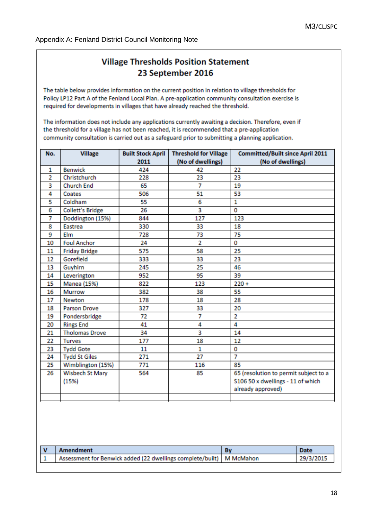# **Village Thresholds Position Statement** 23 September 2016

The table below provides information on the current position in relation to village thresholds for Policy LP12 Part A of the Fenland Local Plan. A pre-application community consultation exercise is required for developments in villages that have already reached the threshold.

The information does not include any applications currently awaiting a decision. Therefore, even if the threshold for a village has not been reached, it is recommended that a pre-application community consultation is carried out as a safeguard prior to submitting a planning application.

| No.            | <b>Village</b>           | <b>Built Stock April</b> | <b>Threshold for Village</b> | <b>Committed/Built since April 2011</b>                                                         |
|----------------|--------------------------|--------------------------|------------------------------|-------------------------------------------------------------------------------------------------|
|                |                          | 2011                     | (No of dwellings)            | (No of dwellings)                                                                               |
| 1              | <b>Benwick</b>           | 424                      | 42                           | 22                                                                                              |
| $\overline{2}$ | Christchurch             | 228                      | 23                           | 23                                                                                              |
| 3              | <b>Church End</b>        | 65                       | 7                            | 19                                                                                              |
| 4              | Coates                   | 506                      | 51                           | 53                                                                                              |
| 5              | Coldham                  | 55                       | 6                            | 1                                                                                               |
| 6              | <b>Collett's Bridge</b>  | 26                       | 3                            | 0                                                                                               |
| 7              | Doddington (15%)         | 844                      | 127                          | 123                                                                                             |
| 8              | <b>Eastrea</b>           | 330                      | 33                           | 18                                                                                              |
| 9              | Elm                      | 728                      | 73                           | 75                                                                                              |
| 10             | <b>Foul Anchor</b>       | 24                       | $\overline{2}$               | 0                                                                                               |
| 11             | <b>Friday Bridge</b>     | 575                      | 58                           | 25                                                                                              |
| 12             | Gorefield                | 333                      | 33                           | 23                                                                                              |
| 13             | Guyhirn                  | 245                      | 25                           | 46                                                                                              |
| 14             | Leverington              | 952                      | 95                           | 39                                                                                              |
| 15             | Manea (15%)              | 822                      | 123                          | $220 +$                                                                                         |
| 16             | Murrow                   | 382                      | 38                           | 55                                                                                              |
| 17             | Newton                   | 178                      | 18                           | 28                                                                                              |
| 18             | Parson Drove             | 327                      | 33                           | 20                                                                                              |
| 19             | Pondersbridge            | 72                       | 7                            | $\overline{2}$                                                                                  |
| 20             | <b>Rings End</b>         | 41                       | 4                            | 4                                                                                               |
| 21             | <b>Tholomas Drove</b>    | 34                       | 3                            | 14                                                                                              |
| 22             | <b>Turves</b>            | 177                      | 18                           | 12                                                                                              |
| 23             | <b>Tydd Gote</b>         | 11                       | 1                            | 0                                                                                               |
| 24             | <b>Tydd St Giles</b>     | 271                      | 27                           | 7                                                                                               |
| 25             | Wimblington (15%)        | 771                      | 116                          | 85                                                                                              |
| 26             | Wisbech St Mary<br>(15%) | 564                      | 85                           | 65 (resolution to permit subject to a<br>S106 50 x dwellings - 11 of which<br>already approved) |
|                |                          |                          |                              |                                                                                                 |

| Amendment                                                              | Date      |
|------------------------------------------------------------------------|-----------|
| Assessment for Benwick added (22 dwellings complete/built)   M McMahon | 29/3/2015 |